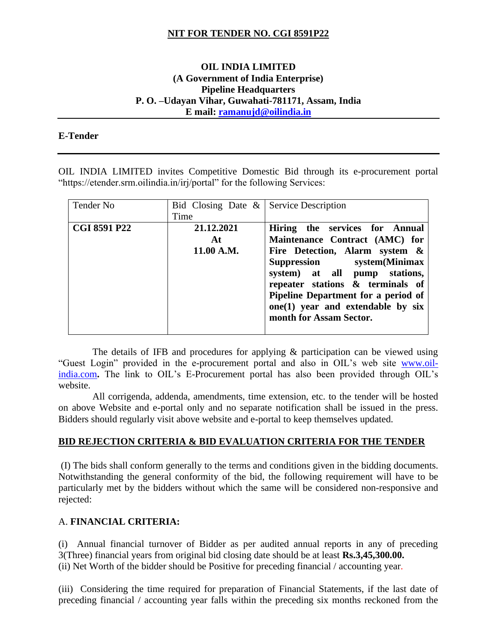# **NIT FOR TENDER NO. CGI 8591P22**

### **OIL INDIA LIMITED (A Government of India Enterprise) Pipeline Headquarters P. O. –Udayan Vihar, Guwahati-781171, Assam, India E mail: [ramanujd@oilindia.in](mailto:ramanujd@oilindia.in)**

#### **E-Tender**

OIL INDIA LIMITED invites Competitive Domestic Bid through its e-procurement portal "https://etender.srm.oilindia.in/irj/portal" for the following Services:

| Tender No           | Bid Closing Date $\&$ Service Description<br>Time |                                                                                                                                                                                                                                                                                                              |
|---------------------|---------------------------------------------------|--------------------------------------------------------------------------------------------------------------------------------------------------------------------------------------------------------------------------------------------------------------------------------------------------------------|
| <b>CGI 8591 P22</b> | 21.12.2021<br>At<br>11.00 A.M.                    | Hiring the services for Annual<br>Maintenance Contract (AMC) for<br>Fire Detection, Alarm system &<br>Suppression system(Minimax<br>system) at all pump stations,<br>repeater stations & terminals of<br>Pipeline Department for a period of<br>one(1) year and extendable by six<br>month for Assam Sector. |

The details of IFB and procedures for applying  $\&$  participation can be viewed using "Guest Login" provided in the e-procurement portal and also in OIL's web site [www.oil](http://www.oil-india.com/)[india.com](http://www.oil-india.com/). The link to OIL's E-Procurement portal has also been provided through OIL's website.

 All corrigenda, addenda, amendments, time extension, etc. to the tender will be hosted on above Website and e-portal only and no separate notification shall be issued in the press. Bidders should regularly visit above website and e-portal to keep themselves updated.

### **BID REJECTION CRITERIA & BID EVALUATION CRITERIA FOR THE TENDER**

(I) The bids shall conform generally to the terms and conditions given in the bidding documents. Notwithstanding the general conformity of the bid, the following requirement will have to be particularly met by the bidders without which the same will be considered non-responsive and rejected:

### A. **FINANCIAL CRITERIA:**

(i) Annual financial turnover of Bidder as per audited annual reports in any of preceding 3(Three) financial years from original bid closing date should be at least **Rs.3,45,300.00.** (ii) Net Worth of the bidder should be Positive for preceding financial / accounting year.

(iii) Considering the time required for preparation of Financial Statements, if the last date of preceding financial / accounting year falls within the preceding six months reckoned from the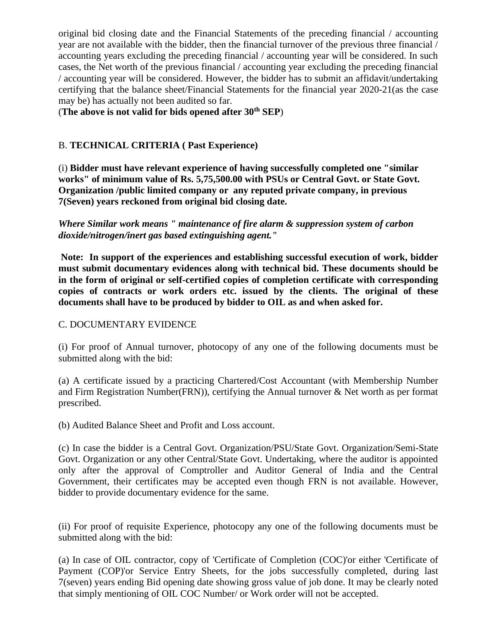original bid closing date and the Financial Statements of the preceding financial / accounting year are not available with the bidder, then the financial turnover of the previous three financial / accounting years excluding the preceding financial / accounting year will be considered. In such cases, the Net worth of the previous financial / accounting year excluding the preceding financial / accounting year will be considered. However, the bidder has to submit an affidavit/undertaking certifying that the balance sheet/Financial Statements for the financial year 2020-21(as the case may be) has actually not been audited so far.

(**The above is not valid for bids opened after 30th SEP**)

# B. **TECHNICAL CRITERIA ( Past Experience)**

(i) **Bidder must have relevant experience of having successfully completed one "similar works" of minimum value of Rs. 5,75,500.00 with PSUs or Central Govt. or State Govt. Organization /public limited company or any reputed private company, in previous 7(Seven) years reckoned from original bid closing date.**

*Where Similar work means " maintenance of fire alarm & suppression system of carbon dioxide/nitrogen/inert gas based extinguishing agent."*

**Note: In support of the experiences and establishing successful execution of work, bidder must submit documentary evidences along with technical bid. These documents should be in the form of original or self-certified copies of completion certificate with corresponding copies of contracts or work orders etc. issued by the clients. The original of these documents shall have to be produced by bidder to OIL as and when asked for.**

### C. DOCUMENTARY EVIDENCE

(i) For proof of Annual turnover, photocopy of any one of the following documents must be submitted along with the bid:

(a) A certificate issued by a practicing Chartered/Cost Accountant (with Membership Number and Firm Registration Number(FRN)), certifying the Annual turnover & Net worth as per format prescribed.

(b) Audited Balance Sheet and Profit and Loss account.

(c) In case the bidder is a Central Govt. Organization/PSU/State Govt. Organization/Semi-State Govt. Organization or any other Central/State Govt. Undertaking, where the auditor is appointed only after the approval of Comptroller and Auditor General of India and the Central Government, their certificates may be accepted even though FRN is not available. However, bidder to provide documentary evidence for the same.

(ii) For proof of requisite Experience, photocopy any one of the following documents must be submitted along with the bid:

(a) In case of OIL contractor, copy of 'Certificate of Completion (COC)'or either 'Certificate of Payment (COP)'or Service Entry Sheets, for the jobs successfully completed, during last 7(seven) years ending Bid opening date showing gross value of job done. It may be clearly noted that simply mentioning of OIL COC Number/ or Work order will not be accepted.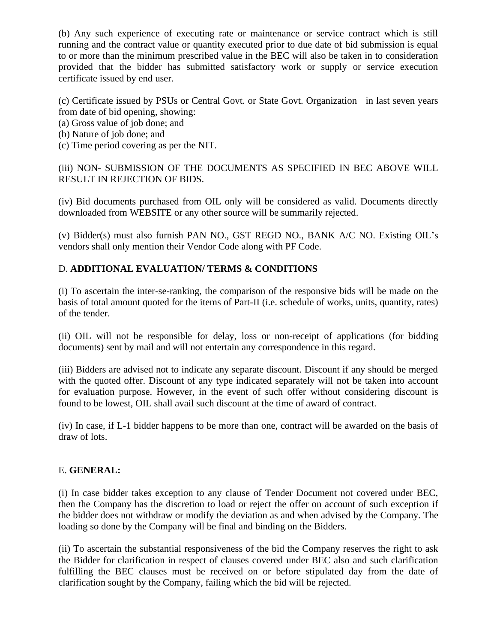(b) Any such experience of executing rate or maintenance or service contract which is still running and the contract value or quantity executed prior to due date of bid submission is equal to or more than the minimum prescribed value in the BEC will also be taken in to consideration provided that the bidder has submitted satisfactory work or supply or service execution certificate issued by end user.

(c) Certificate issued by PSUs or Central Govt. or State Govt. Organization in last seven years from date of bid opening, showing:

- (a) Gross value of job done; and
- (b) Nature of job done; and
- (c) Time period covering as per the NIT.

(iii) NON- SUBMISSION OF THE DOCUMENTS AS SPECIFIED IN BEC ABOVE WILL RESULT IN REJECTION OF BIDS.

(iv) Bid documents purchased from OIL only will be considered as valid. Documents directly downloaded from WEBSITE or any other source will be summarily rejected.

(v) Bidder(s) must also furnish PAN NO., GST REGD NO., BANK A/C NO. Existing OIL's vendors shall only mention their Vendor Code along with PF Code.

# D. **ADDITIONAL EVALUATION/ TERMS & CONDITIONS**

(i) To ascertain the inter-se-ranking, the comparison of the responsive bids will be made on the basis of total amount quoted for the items of Part-II (i.e. schedule of works, units, quantity, rates) of the tender.

(ii) OIL will not be responsible for delay, loss or non-receipt of applications (for bidding documents) sent by mail and will not entertain any correspondence in this regard.

(iii) Bidders are advised not to indicate any separate discount. Discount if any should be merged with the quoted offer. Discount of any type indicated separately will not be taken into account for evaluation purpose. However, in the event of such offer without considering discount is found to be lowest, OIL shall avail such discount at the time of award of contract.

(iv) In case, if L-1 bidder happens to be more than one, contract will be awarded on the basis of draw of lots.

## E. **GENERAL:**

(i) In case bidder takes exception to any clause of Tender Document not covered under BEC, then the Company has the discretion to load or reject the offer on account of such exception if the bidder does not withdraw or modify the deviation as and when advised by the Company. The loading so done by the Company will be final and binding on the Bidders.

(ii) To ascertain the substantial responsiveness of the bid the Company reserves the right to ask the Bidder for clarification in respect of clauses covered under BEC also and such clarification fulfilling the BEC clauses must be received on or before stipulated day from the date of clarification sought by the Company, failing which the bid will be rejected.